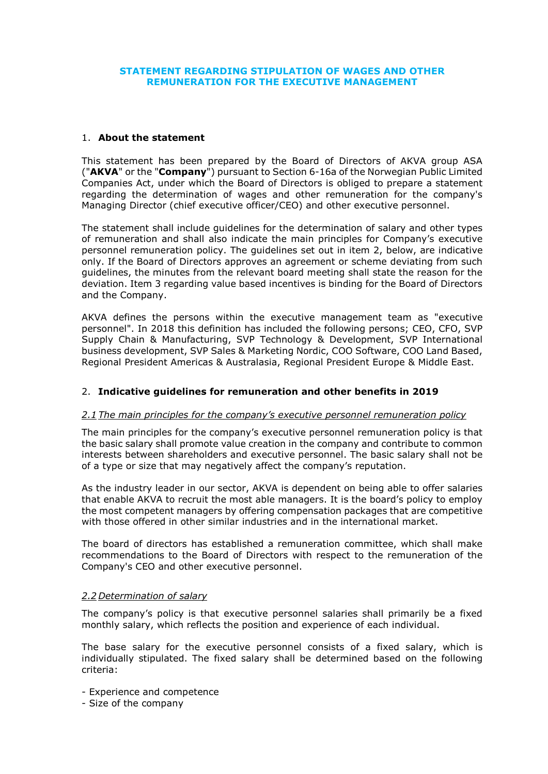### **STATEMENT REGARDING STIPULATION OF WAGES AND OTHER REMUNERATION FOR THE EXECUTIVE MANAGEMENT**

#### 1. **About the statement**

This statement has been prepared by the Board of Directors of AKVA group ASA ("**AKVA**" or the "**Company**") pursuant to Section 6-16a of the Norwegian Public Limited Companies Act, under which the Board of Directors is obliged to prepare a statement regarding the determination of wages and other remuneration for the company's Managing Director (chief executive officer/CEO) and other executive personnel.

The statement shall include guidelines for the determination of salary and other types of remuneration and shall also indicate the main principles for Company's executive personnel remuneration policy. The guidelines set out in item 2, below, are indicative only. If the Board of Directors approves an agreement or scheme deviating from such guidelines, the minutes from the relevant board meeting shall state the reason for the deviation. Item 3 regarding value based incentives is binding for the Board of Directors and the Company.

AKVA defines the persons within the executive management team as "executive personnel". In 2018 this definition has included the following persons; CEO, CFO, SVP Supply Chain & Manufacturing, SVP Technology & Development, SVP International business development, SVP Sales & Marketing Nordic, COO Software, COO Land Based, Regional President Americas & Australasia, Regional President Europe & Middle East.

### 2. **Indicative guidelines for remuneration and other benefits in 2019**

### *2.1 The main principles for the company's executive personnel remuneration policy*

The main principles for the company's executive personnel remuneration policy is that the basic salary shall promote value creation in the company and contribute to common interests between shareholders and executive personnel. The basic salary shall not be of a type or size that may negatively affect the company's reputation.

As the industry leader in our sector, AKVA is dependent on being able to offer salaries that enable AKVA to recruit the most able managers. It is the board's policy to employ the most competent managers by offering compensation packages that are competitive with those offered in other similar industries and in the international market.

The board of directors has established a remuneration committee, which shall make recommendations to the Board of Directors with respect to the remuneration of the Company's CEO and other executive personnel.

### *2.2 Determination of salary*

The company's policy is that executive personnel salaries shall primarily be a fixed monthly salary, which reflects the position and experience of each individual.

The base salary for the executive personnel consists of a fixed salary, which is individually stipulated. The fixed salary shall be determined based on the following criteria:

- Experience and competence
- Size of the company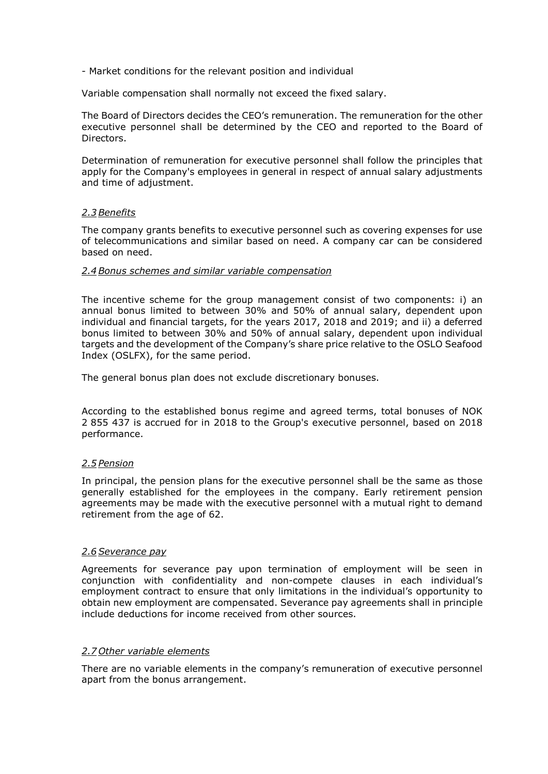- Market conditions for the relevant position and individual

Variable compensation shall normally not exceed the fixed salary.

The Board of Directors decides the CEO's remuneration. The remuneration for the other executive personnel shall be determined by the CEO and reported to the Board of Directors.

Determination of remuneration for executive personnel shall follow the principles that apply for the Company's employees in general in respect of annual salary adjustments and time of adjustment.

### *2.3 Benefits*

The company grants benefits to executive personnel such as covering expenses for use of telecommunications and similar based on need. A company car can be considered based on need.

#### *2.4 Bonus schemes and similar variable compensation*

The incentive scheme for the group management consist of two components: i) an annual bonus limited to between 30% and 50% of annual salary, dependent upon individual and financial targets, for the years 2017, 2018 and 2019; and ii) a deferred bonus limited to between 30% and 50% of annual salary, dependent upon individual targets and the development of the Company's share price relative to the OSLO Seafood Index (OSLFX), for the same period.

The general bonus plan does not exclude discretionary bonuses.

According to the established bonus regime and agreed terms, total bonuses of NOK 2 855 437 is accrued for in 2018 to the Group's executive personnel, based on 2018 performance.

### *2.5 Pension*

In principal, the pension plans for the executive personnel shall be the same as those generally established for the employees in the company. Early retirement pension agreements may be made with the executive personnel with a mutual right to demand retirement from the age of 62.

#### *2.6 Severance pay*

Agreements for severance pay upon termination of employment will be seen in conjunction with confidentiality and non-compete clauses in each individual's employment contract to ensure that only limitations in the individual's opportunity to obtain new employment are compensated. Severance pay agreements shall in principle include deductions for income received from other sources.

### *2.7 Other variable elements*

There are no variable elements in the company's remuneration of executive personnel apart from the bonus arrangement.